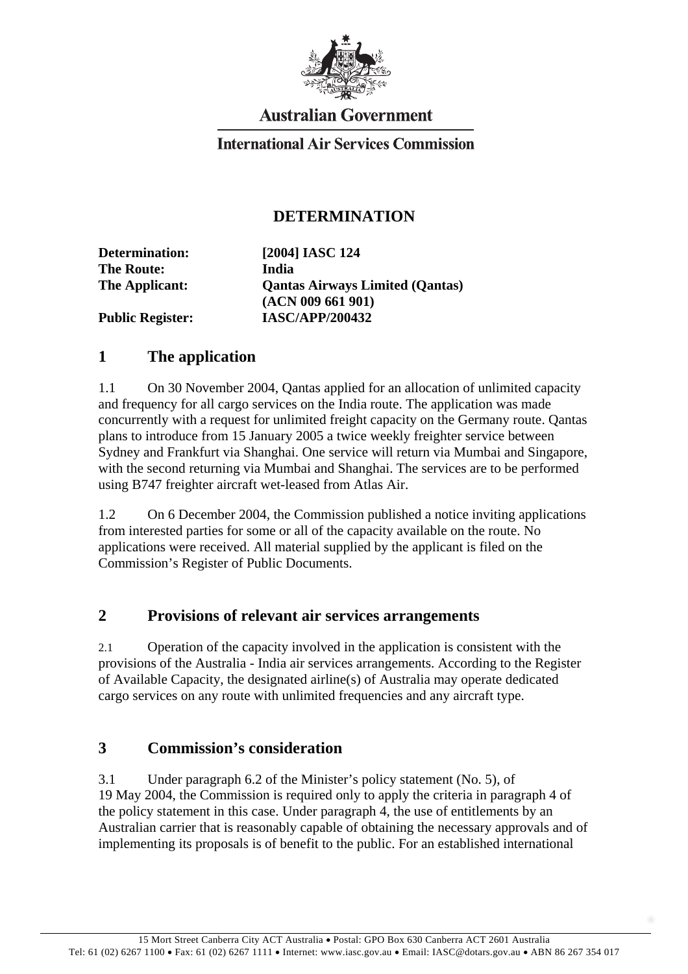

# **Australian Government**

#### **International Air Services Commission**

#### **DETERMINATION**

| Determination:          | [2004] IASC 124                        |
|-------------------------|----------------------------------------|
| <b>The Route:</b>       | India                                  |
| The Applicant:          | <b>Qantas Airways Limited (Qantas)</b> |
|                         | (ACN 009 661 901)                      |
| <b>Public Register:</b> | <b>IASC/APP/200432</b>                 |

#### **1 The application**

1.1 On 30 November 2004, Qantas applied for an allocation of unlimited capacity and frequency for all cargo services on the India route. The application was made concurrently with a request for unlimited freight capacity on the Germany route. Qantas plans to introduce from 15 January 2005 a twice weekly freighter service between Sydney and Frankfurt via Shanghai. One service will return via Mumbai and Singapore, with the second returning via Mumbai and Shanghai. The services are to be performed using B747 freighter aircraft wet-leased from Atlas Air.

1.2 On 6 December 2004, the Commission published a notice inviting applications from interested parties for some or all of the capacity available on the route. No applications were received. All material supplied by the applicant is filed on the Commission's Register of Public Documents.

#### **2 Provisions of relevant air services arrangements**

2.1 Operation of the capacity involved in the application is consistent with the provisions of the Australia - India air services arrangements. According to the Register of Available Capacity, the designated airline(s) of Australia may operate dedicated cargo services on any route with unlimited frequencies and any aircraft type.

### **3 Commission's consideration**

3.1 Under paragraph 6.2 of the Minister's policy statement (No. 5), of 19 May 2004, the Commission is required only to apply the criteria in paragraph 4 of the policy statement in this case. Under paragraph 4, the use of entitlements by an Australian carrier that is reasonably capable of obtaining the necessary approvals and of implementing its proposals is of benefit to the public. For an established international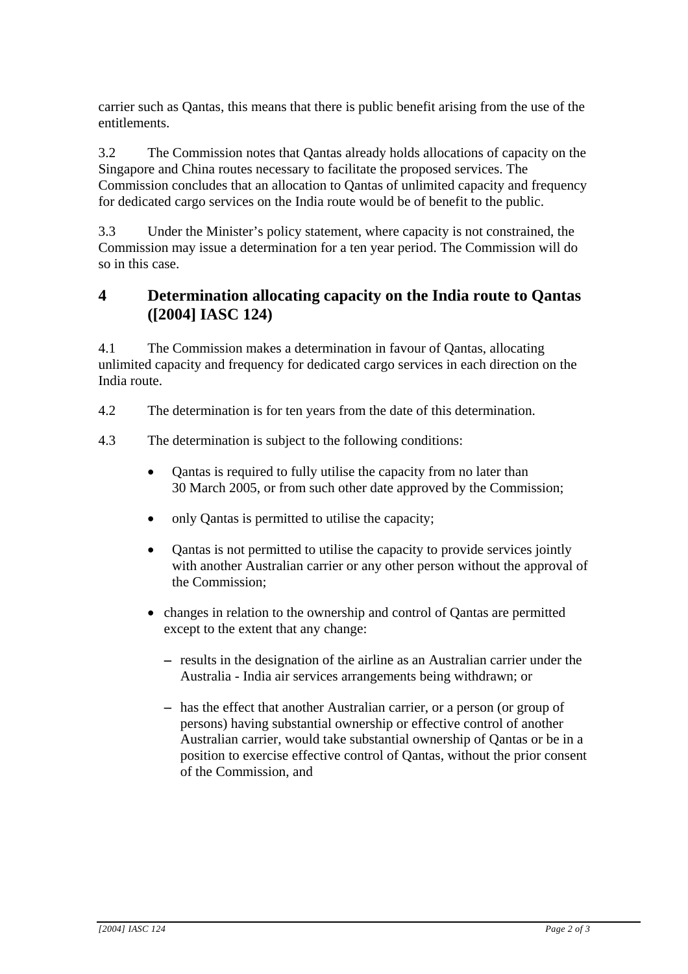carrier such as Qantas, this means that there is public benefit arising from the use of the entitlements.

3.2 The Commission notes that Qantas already holds allocations of capacity on the Singapore and China routes necessary to facilitate the proposed services. The Commission concludes that an allocation to Qantas of unlimited capacity and frequency for dedicated cargo services on the India route would be of benefit to the public.

3.3 Under the Minister's policy statement, where capacity is not constrained, the Commission may issue a determination for a ten year period. The Commission will do so in this case.

## **4 Determination allocating capacity on the India route to Qantas ([2004] IASC 124)**

4.1 The Commission makes a determination in favour of Qantas, allocating unlimited capacity and frequency for dedicated cargo services in each direction on the India route.

- 4.2 The determination is for ten years from the date of this determination.
- 4.3 The determination is subject to the following conditions:
	- Qantas is required to fully utilise the capacity from no later than 30 March 2005, or from such other date approved by the Commission; •
	- only Qantas is permitted to utilise the capacity;
	- Qantas is not permitted to utilise the capacity to provide services jointly with another Australian carrier or any other person without the approval of the Commission;
	- changes in relation to the ownership and control of Qantas are permitted except to the extent that any change:
		- − results in the designation of the airline as an Australian carrier under the Australia - India air services arrangements being withdrawn; or
		- − has the effect that another Australian carrier, or a person (or group of persons) having substantial ownership or effective control of another Australian carrier, would take substantial ownership of Qantas or be in a position to exercise effective control of Qantas, without the prior consent of the Commission, and